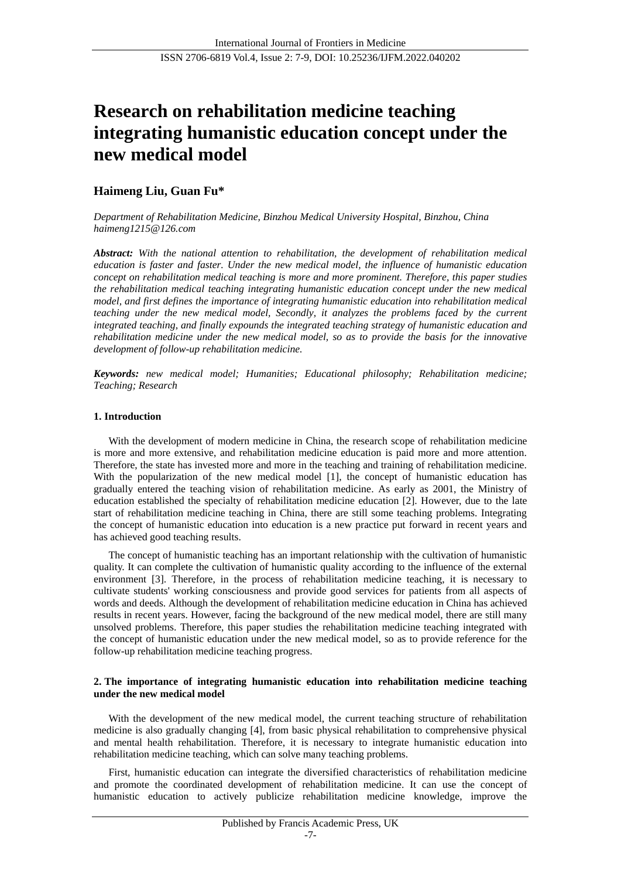# **Research on rehabilitation medicine teaching integrating humanistic education concept under the new medical model**

## **Haimeng Liu, Guan Fu\***

*Department of Rehabilitation Medicine, Binzhou Medical University Hospital, Binzhou, China haimeng1215@126.com*

*Abstract: With the national attention to rehabilitation, the development of rehabilitation medical education is faster and faster. Under the new medical model, the influence of humanistic education concept on rehabilitation medical teaching is more and more prominent. Therefore, this paper studies the rehabilitation medical teaching integrating humanistic education concept under the new medical model, and first defines the importance of integrating humanistic education into rehabilitation medical teaching under the new medical model, Secondly, it analyzes the problems faced by the current integrated teaching, and finally expounds the integrated teaching strategy of humanistic education and rehabilitation medicine under the new medical model, so as to provide the basis for the innovative development of follow-up rehabilitation medicine.*

*Keywords: new medical model; Humanities; Educational philosophy; Rehabilitation medicine; Teaching; Research*

### **1. Introduction**

With the development of modern medicine in China, the research scope of rehabilitation medicine is more and more extensive, and rehabilitation medicine education is paid more and more attention. Therefore, the state has invested more and more in the teaching and training of rehabilitation medicine. With the popularization of the new medical model [1], the concept of humanistic education has gradually entered the teaching vision of rehabilitation medicine. As early as 2001, the Ministry of education established the specialty of rehabilitation medicine education [2]. However, due to the late start of rehabilitation medicine teaching in China, there are still some teaching problems. Integrating the concept of humanistic education into education is a new practice put forward in recent years and has achieved good teaching results.

The concept of humanistic teaching has an important relationship with the cultivation of humanistic quality. It can complete the cultivation of humanistic quality according to the influence of the external environment [3]. Therefore, in the process of rehabilitation medicine teaching, it is necessary to cultivate students' working consciousness and provide good services for patients from all aspects of words and deeds. Although the development of rehabilitation medicine education in China has achieved results in recent years. However, facing the background of the new medical model, there are still many unsolved problems. Therefore, this paper studies the rehabilitation medicine teaching integrated with the concept of humanistic education under the new medical model, so as to provide reference for the follow-up rehabilitation medicine teaching progress.

#### **2. The importance of integrating humanistic education into rehabilitation medicine teaching under the new medical model**

With the development of the new medical model, the current teaching structure of rehabilitation medicine is also gradually changing [4], from basic physical rehabilitation to comprehensive physical and mental health rehabilitation. Therefore, it is necessary to integrate humanistic education into rehabilitation medicine teaching, which can solve many teaching problems.

First, humanistic education can integrate the diversified characteristics of rehabilitation medicine and promote the coordinated development of rehabilitation medicine. It can use the concept of humanistic education to actively publicize rehabilitation medicine knowledge, improve the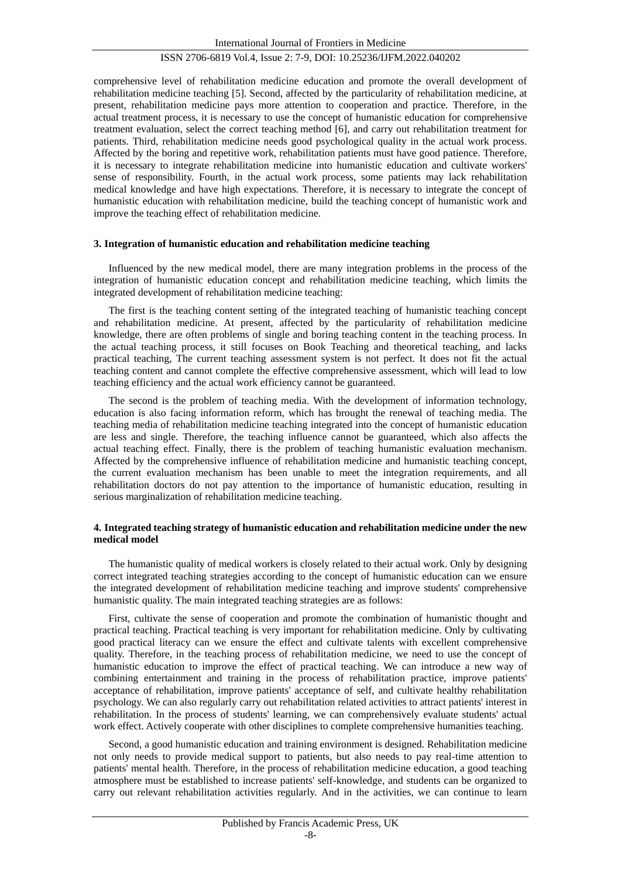## ISSN 2706-6819 Vol.4, Issue 2: 7-9, DOI: 10.25236/IJFM.2022.040202

comprehensive level of rehabilitation medicine education and promote the overall development of rehabilitation medicine teaching [5]. Second, affected by the particularity of rehabilitation medicine, at present, rehabilitation medicine pays more attention to cooperation and practice. Therefore, in the actual treatment process, it is necessary to use the concept of humanistic education for comprehensive treatment evaluation, select the correct teaching method [6], and carry out rehabilitation treatment for patients. Third, rehabilitation medicine needs good psychological quality in the actual work process. Affected by the boring and repetitive work, rehabilitation patients must have good patience. Therefore, it is necessary to integrate rehabilitation medicine into humanistic education and cultivate workers' sense of responsibility. Fourth, in the actual work process, some patients may lack rehabilitation medical knowledge and have high expectations. Therefore, it is necessary to integrate the concept of humanistic education with rehabilitation medicine, build the teaching concept of humanistic work and improve the teaching effect of rehabilitation medicine.

#### **3. Integration of humanistic education and rehabilitation medicine teaching**

Influenced by the new medical model, there are many integration problems in the process of the integration of humanistic education concept and rehabilitation medicine teaching, which limits the integrated development of rehabilitation medicine teaching:

The first is the teaching content setting of the integrated teaching of humanistic teaching concept and rehabilitation medicine. At present, affected by the particularity of rehabilitation medicine knowledge, there are often problems of single and boring teaching content in the teaching process. In the actual teaching process, it still focuses on Book Teaching and theoretical teaching, and lacks practical teaching, The current teaching assessment system is not perfect. It does not fit the actual teaching content and cannot complete the effective comprehensive assessment, which will lead to low teaching efficiency and the actual work efficiency cannot be guaranteed.

The second is the problem of teaching media. With the development of information technology, education is also facing information reform, which has brought the renewal of teaching media. The teaching media of rehabilitation medicine teaching integrated into the concept of humanistic education are less and single. Therefore, the teaching influence cannot be guaranteed, which also affects the actual teaching effect. Finally, there is the problem of teaching humanistic evaluation mechanism. Affected by the comprehensive influence of rehabilitation medicine and humanistic teaching concept, the current evaluation mechanism has been unable to meet the integration requirements, and all rehabilitation doctors do not pay attention to the importance of humanistic education, resulting in serious marginalization of rehabilitation medicine teaching.

#### **4. Integrated teaching strategy of humanistic education and rehabilitation medicine under the new medical model**

The humanistic quality of medical workers is closely related to their actual work. Only by designing correct integrated teaching strategies according to the concept of humanistic education can we ensure the integrated development of rehabilitation medicine teaching and improve students' comprehensive humanistic quality. The main integrated teaching strategies are as follows:

First, cultivate the sense of cooperation and promote the combination of humanistic thought and practical teaching. Practical teaching is very important for rehabilitation medicine. Only by cultivating good practical literacy can we ensure the effect and cultivate talents with excellent comprehensive quality. Therefore, in the teaching process of rehabilitation medicine, we need to use the concept of humanistic education to improve the effect of practical teaching. We can introduce a new way of combining entertainment and training in the process of rehabilitation practice, improve patients' acceptance of rehabilitation, improve patients' acceptance of self, and cultivate healthy rehabilitation psychology. We can also regularly carry out rehabilitation related activities to attract patients' interest in rehabilitation. In the process of students' learning, we can comprehensively evaluate students' actual work effect. Actively cooperate with other disciplines to complete comprehensive humanities teaching.

Second, a good humanistic education and training environment is designed. Rehabilitation medicine not only needs to provide medical support to patients, but also needs to pay real-time attention to patients' mental health. Therefore, in the process of rehabilitation medicine education, a good teaching atmosphere must be established to increase patients' self-knowledge, and students can be organized to carry out relevant rehabilitation activities regularly. And in the activities, we can continue to learn